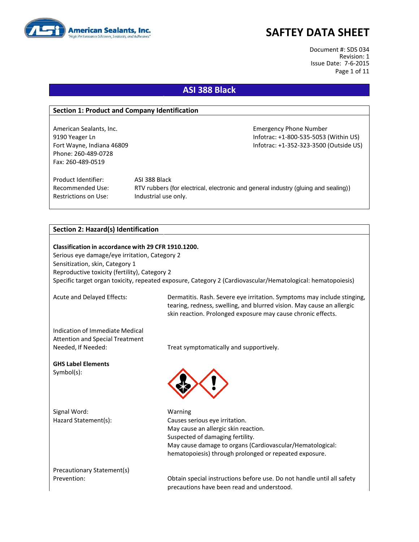

Document #: SDS 034 Revision: 1 Issue Date: 7-6-2015 Page 1 of 11

### **ASI 388 Black**

#### **Section 1: Product and Company Identification**

American Sealants, Inc. **Emergency Phone Number** Emergency Phone Number Phone: 260-489-0728 Fax: 260-489-0519

9190 Yeager Ln Infotrac: +1-800-535-5053 (Within US) Fort Wayne, Indiana 46809 **Information Controller Server Act 2018** Infotrac: +1-352-323-3500 (Outside US)

Product Identifier: ASI 388 Black Restrictions on Use: Industrial use only.

Recommended Use: RTV rubbers (for electrical, electronic and general industry (gluing and sealing))

#### **Section 2: Hazard(s) Identification**

**Classification in accordance with 29 CFR 1910.1200.** Serious eye damage/eye irritation, Category 2 Sensitization, skin, Category 1 Reproductive toxicity (fertility), Category 2 Specific target organ toxicity, repeated exposure, Category 2 (Cardiovascular/Hematological: hematopoiesis)

Acute and Delayed Effects: Dermatitis. Rash. Severe eye irritation. Symptoms may include stinging, tearing, redness, swelling, and blurred vision. May cause an allergic skin reaction. Prolonged exposure may cause chronic effects.

Indication of Immediate Medical Attention and Special Treatment

Needed, If Needed: Treat symptomatically and supportively.

**GHS Label Elements** Symbol(s):

Signal Word: Warning

Hazard Statement(s): Causes serious eye irritation. May cause an allergic skin reaction. Suspected of damaging fertility. May cause damage to organs (Cardiovascular/Hematological: hematopoiesis) through prolonged or repeated exposure.

Precautionary Statement(s)

Prevention: Obtain special instructions before use. Do not handle until all safety precautions have been read and understood.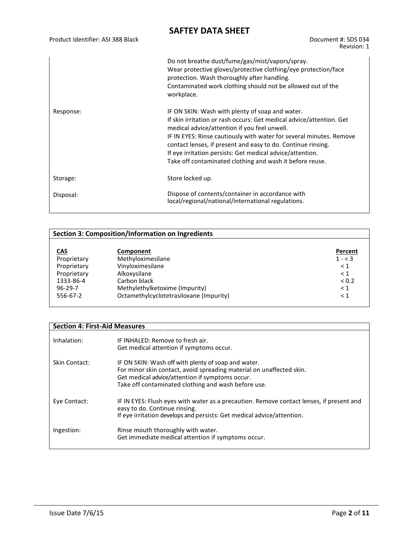|           | Do not breathe dust/fume/gas/mist/vapors/spray.<br>Wear protective gloves/protective clothing/eye protection/face<br>protection. Wash thoroughly after handling.<br>Contaminated work clothing should not be allowed out of the<br>workplace.                                                                                                                                                                                           |
|-----------|-----------------------------------------------------------------------------------------------------------------------------------------------------------------------------------------------------------------------------------------------------------------------------------------------------------------------------------------------------------------------------------------------------------------------------------------|
| Response: | IF ON SKIN: Wash with plenty of soap and water.<br>If skin irritation or rash occurs: Get medical advice/attention. Get<br>medical advice/attention if you feel unwell.<br>IF IN EYES: Rinse cautiously with water for several minutes. Remove<br>contact lenses, if present and easy to do. Continue rinsing.<br>If eye irritation persists: Get medical advice/attention.<br>Take off contaminated clothing and wash it before reuse. |
| Storage:  | Store locked up.                                                                                                                                                                                                                                                                                                                                                                                                                        |
| Disposal: | Dispose of contents/container in accordance with<br>local/regional/national/international regulations.                                                                                                                                                                                                                                                                                                                                  |

| <b>Section 3: Composition/Information on Ingredients</b> |                                         |            |  |
|----------------------------------------------------------|-----------------------------------------|------------|--|
|                                                          |                                         |            |  |
| <u>CAS</u>                                               | Component                               | Percent    |  |
| Proprietary                                              | Methyloximesilane                       | $1 - 3$    |  |
| Proprietary                                              | Vinyloximesilane                        | $\leq 1$   |  |
| Proprietary                                              | Alkoxysilane                            | $\leq 1$   |  |
| 1333-86-4                                                | Carbon black                            | ${}_{0.2}$ |  |
| $96 - 29 - 7$                                            | Methylethylketoxime (Impurity)          | $\leq 1$   |  |
| 556-67-2                                                 | Octamethylcyclotetrasiloxane (Impurity) | $\leq 1$   |  |
|                                                          |                                         |            |  |

#### **Section 4: First-Aid Measures**

| Inhalation:   | IF INHALED: Remove to fresh air.<br>Get medical attention if symptoms occur.                                                                                                                                                          |
|---------------|---------------------------------------------------------------------------------------------------------------------------------------------------------------------------------------------------------------------------------------|
| Skin Contact: | IF ON SKIN: Wash off with plenty of soap and water.<br>For minor skin contact, avoid spreading material on unaffected skin.<br>Get medical advice/attention if symptoms occur.<br>Take off contaminated clothing and wash before use. |
| Eye Contact:  | IF IN EYES: Flush eyes with water as a precaution. Remove contact lenses, if present and<br>easy to do. Continue rinsing.<br>If eye irritation develops and persists: Get medical advice/attention.                                   |
| Ingestion:    | Rinse mouth thoroughly with water.<br>Get immediate medical attention if symptoms occur.                                                                                                                                              |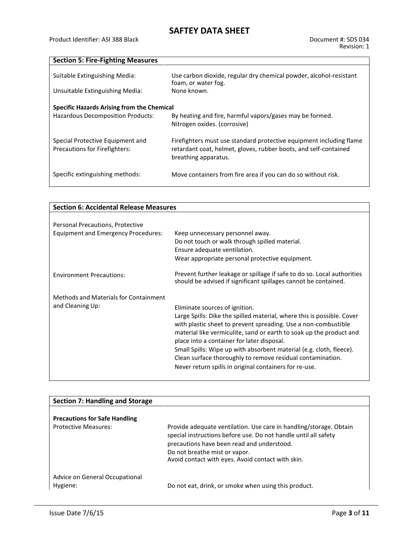**Section 5: Fire-Fighting Measures**

| Suitable Extinguishing Media:<br>Unsuitable Extinguishing Media:         | Use carbon dioxide, regular dry chemical powder, alcohol-resistant<br>foam, or water fog.<br>None known.                                                        |
|--------------------------------------------------------------------------|-----------------------------------------------------------------------------------------------------------------------------------------------------------------|
| <b>Specific Hazards Arising from the Chemical</b>                        |                                                                                                                                                                 |
| Hazardous Decomposition Products:                                        | By heating and fire, harmful vapors/gases may be formed.<br>Nitrogen oxides. (corrosive)                                                                        |
| Special Protective Equipment and<br><b>Precautions for Firefighters:</b> | Firefighters must use standard protective equipment including flame<br>retardant coat, helmet, gloves, rubber boots, and self-contained<br>breathing apparatus. |
| Specific extinguishing methods:                                          | Move containers from fire area if you can do so without risk.                                                                                                   |

| <b>Section 6: Accidental Release Measures</b>             |                                                                                                                                                                                                                                                                                                                                                                                                                                                                                                |  |  |
|-----------------------------------------------------------|------------------------------------------------------------------------------------------------------------------------------------------------------------------------------------------------------------------------------------------------------------------------------------------------------------------------------------------------------------------------------------------------------------------------------------------------------------------------------------------------|--|--|
|                                                           |                                                                                                                                                                                                                                                                                                                                                                                                                                                                                                |  |  |
| Personal Precautions, Protective                          |                                                                                                                                                                                                                                                                                                                                                                                                                                                                                                |  |  |
| <b>Equipment and Emergency Procedures:</b>                | Keep unnecessary personnel away.<br>Do not touch or walk through spilled material.<br>Ensure adequate ventilation.<br>Wear appropriate personal protective equipment.                                                                                                                                                                                                                                                                                                                          |  |  |
| <b>Environment Precautions:</b>                           | Prevent further leakage or spillage if safe to do so. Local authorities<br>should be advised if significant spillages cannot be contained.                                                                                                                                                                                                                                                                                                                                                     |  |  |
| Methods and Materials for Containment<br>and Cleaning Up: | Eliminate sources of ignition.<br>Large Spills: Dike the spilled material, where this is possible. Cover<br>with plastic sheet to prevent spreading. Use a non-combustible<br>material like vermiculite, sand or earth to soak up the product and<br>place into a container for later disposal.<br>Small Spills: Wipe up with absorbent material (e.g. cloth, fleece).<br>Clean surface thoroughly to remove residual contamination.<br>Never return spills in original containers for re-use. |  |  |

| <b>Section 7: Handling and Storage</b>     |                                                                                                                                                                                                                                                                           |
|--------------------------------------------|---------------------------------------------------------------------------------------------------------------------------------------------------------------------------------------------------------------------------------------------------------------------------|
|                                            |                                                                                                                                                                                                                                                                           |
| <b>Precautions for Safe Handling</b>       |                                                                                                                                                                                                                                                                           |
| <b>Protective Measures:</b>                | Provide adequate ventilation. Use care in handling/storage. Obtain<br>special instructions before use. Do not handle until all safety<br>precautions have been read and understood.<br>Do not breathe mist or vapor.<br>Avoid contact with eyes. Avoid contact with skin. |
| Advice on General Occupational<br>Hygiene: | Do not eat, drink, or smoke when using this product.                                                                                                                                                                                                                      |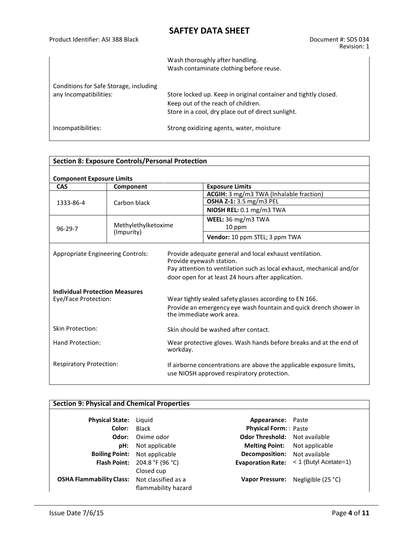|                                                                  | Wash thoroughly after handling.<br>Wash contaminate clothing before reuse.                                                                                  |
|------------------------------------------------------------------|-------------------------------------------------------------------------------------------------------------------------------------------------------------|
| Conditions for Safe Storage, including<br>any Incompatibilities: | Store locked up. Keep in original container and tightly closed.<br>Keep out of the reach of children.<br>Store in a cool, dry place out of direct sunlight. |
| Incompatibilities:                                               | Strong oxidizing agents, water, moisture                                                                                                                    |

| <b>Section 8: Exposure Controls/Personal Protection</b>                                            |                                                                                |                                                                                                                    |                                                                                                                                                                                                                                                   |  |
|----------------------------------------------------------------------------------------------------|--------------------------------------------------------------------------------|--------------------------------------------------------------------------------------------------------------------|---------------------------------------------------------------------------------------------------------------------------------------------------------------------------------------------------------------------------------------------------|--|
| <b>Component Exposure Limits</b>                                                                   |                                                                                |                                                                                                                    |                                                                                                                                                                                                                                                   |  |
| <b>CAS</b>                                                                                         | Component                                                                      |                                                                                                                    | <b>Exposure Limits</b>                                                                                                                                                                                                                            |  |
|                                                                                                    |                                                                                |                                                                                                                    | ACGIH: 3 mg/m3 TWA (Inhalable fraction)                                                                                                                                                                                                           |  |
| 1333-86-4                                                                                          | Carbon black                                                                   |                                                                                                                    | <b>OSHA Z-1:</b> 3.5 mg/m3 PEL                                                                                                                                                                                                                    |  |
|                                                                                                    |                                                                                |                                                                                                                    | NIOSH REL: 0.1 mg/m3 TWA                                                                                                                                                                                                                          |  |
|                                                                                                    |                                                                                |                                                                                                                    | WEEL: 36 mg/m3 TWA                                                                                                                                                                                                                                |  |
| $96 - 29 - 7$                                                                                      | Methylethylketoxime                                                            |                                                                                                                    | 10 ppm                                                                                                                                                                                                                                            |  |
|                                                                                                    | (Impurity)                                                                     |                                                                                                                    | Vendor: 10 ppm STEL; 3 ppm TWA                                                                                                                                                                                                                    |  |
| Appropriate Engineering Controls:<br><b>Individual Protection Measures</b><br>Eye/Face Protection: |                                                                                | Provide eyewash station.                                                                                           | Provide adequate general and local exhaust ventilation.<br>Pay attention to ventilation such as local exhaust, mechanical and/or<br>door open for at least 24 hours after application.<br>Wear tightly sealed safety glasses according to EN 166. |  |
|                                                                                                    |                                                                                | Provide an emergency eye wash fountain and quick drench shower in<br>the immediate work area.                      |                                                                                                                                                                                                                                                   |  |
| <b>Skin Protection:</b>                                                                            |                                                                                |                                                                                                                    | Skin should be washed after contact.                                                                                                                                                                                                              |  |
| Hand Protection:                                                                                   | Wear protective gloves. Wash hands before breaks and at the end of<br>workday. |                                                                                                                    |                                                                                                                                                                                                                                                   |  |
| <b>Respiratory Protection:</b>                                                                     |                                                                                | If airborne concentrations are above the applicable exposure limits,<br>use NIOSH approved respiratory protection. |                                                                                                                                                                                                                                                   |  |

### **Section 9: Physical and Chemical Properties**

| <b>Physical State:</b>                              | Liguid                               | <b>Appearance:</b> Paste             |                                                    |
|-----------------------------------------------------|--------------------------------------|--------------------------------------|----------------------------------------------------|
| Color:                                              | Black                                | <b>Physical Form:</b> Paste          |                                                    |
| Odor:                                               | Oxime odor                           | <b>Odor Threshold:</b> Not available |                                                    |
| pH:                                                 | Not applicable                       | <b>Melting Point:</b> Not applicable |                                                    |
|                                                     | <b>Boiling Point:</b> Not applicable | <b>Decomposition:</b> Not available  |                                                    |
|                                                     | <b>Flash Point:</b> 204.8 °F (96 °C) |                                      | <b>Evaporation Rate:</b> $\lt$ 1 (Butyl Acetate=1) |
|                                                     | Closed cup                           |                                      |                                                    |
| <b>OSHA Flammability Class:</b> Not classified as a |                                      |                                      | Vapor Pressure: Negligible (25 °C)                 |
|                                                     | flammability hazard                  |                                      |                                                    |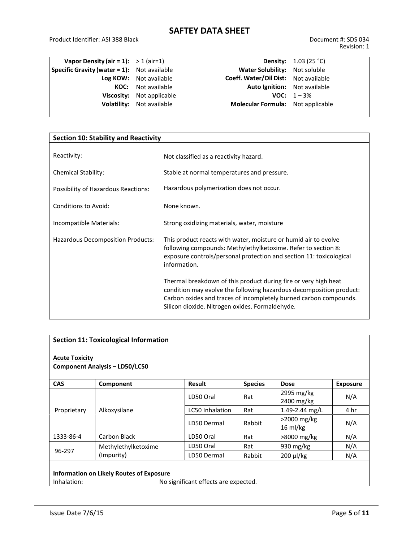Product Identifier: ASI 388 Black Document #: SDS 034

|                                                                                                                                                                                                                      | <b>Density:</b> 1.03 (25 °C) |
|----------------------------------------------------------------------------------------------------------------------------------------------------------------------------------------------------------------------|------------------------------|
| Water Solubility: Not soluble                                                                                                                                                                                        |                              |
| Coeff. Water/Oil Dist: Not available                                                                                                                                                                                 |                              |
| <b>Auto Ignition:</b> Not available                                                                                                                                                                                  |                              |
|                                                                                                                                                                                                                      | <b>VOC:</b> $1 - 3\%$        |
| <b>Molecular Formula:</b> Not applicable                                                                                                                                                                             |                              |
| Vapor Density (air = 1): $> 1$ (air=1)<br><b>Specific Gravity (water = 1):</b> Not available<br>Log KOW: Not available<br><b>KOC:</b> Not available<br>Viscosity: Not applicable<br><b>Volatility:</b> Not available |                              |

| <b>Section 10: Stability and Reactivity</b> |                                                                                                                                                                                                                                                                |  |  |
|---------------------------------------------|----------------------------------------------------------------------------------------------------------------------------------------------------------------------------------------------------------------------------------------------------------------|--|--|
| Reactivity:                                 | Not classified as a reactivity hazard.                                                                                                                                                                                                                         |  |  |
| <b>Chemical Stability:</b>                  | Stable at normal temperatures and pressure.                                                                                                                                                                                                                    |  |  |
| Possibility of Hazardous Reactions:         | Hazardous polymerization does not occur.                                                                                                                                                                                                                       |  |  |
| <b>Conditions to Avoid:</b>                 | None known.                                                                                                                                                                                                                                                    |  |  |
| Incompatible Materials:                     | Strong oxidizing materials, water, moisture                                                                                                                                                                                                                    |  |  |
| Hazardous Decomposition Products:           | This product reacts with water, moisture or humid air to evolve<br>following compounds: Methylethylketoxime. Refer to section 8:<br>exposure controls/personal protection and section 11: toxicological<br>information.                                        |  |  |
|                                             | Thermal breakdown of this product during fire or very high heat<br>condition may evolve the following hazardous decomposition product:<br>Carbon oxides and traces of incompletely burned carbon compounds.<br>Silicon dioxide. Nitrogen oxides. Formaldehyde. |  |  |

| <b>Section 11: Toxicological Information</b>                   |                     |                        |                |                                     |                 |
|----------------------------------------------------------------|---------------------|------------------------|----------------|-------------------------------------|-----------------|
| <b>Acute Toxicity</b><br><b>Component Analysis - LD50/LC50</b> |                     |                        |                |                                     |                 |
| <b>CAS</b>                                                     | Component           | <b>Result</b>          | <b>Species</b> | <b>Dose</b>                         | <b>Exposure</b> |
|                                                                |                     | LD50 Oral              | Rat            | 2995 mg/kg<br>2400 mg/kg            | N/A             |
| Proprietary                                                    | Alkoxysilane        | <b>LC50</b> Inhalation | Rat            | 1.49-2.44 mg/L                      | 4 hr            |
|                                                                |                     | LD50 Dermal            | Rabbit         | $>2000$ mg/kg<br>$16 \text{ ml/kg}$ | N/A             |
| 1333-86-4                                                      | Carbon Black        | LD50 Oral              | Rat            | >8000 mg/kg                         | N/A             |
|                                                                | Methylethylketoxime | LD50 Oral              | Rat            | 930 $mg/kg$                         | N/A             |
| 96-297                                                         | (Impurity)          | LD50 Dermal            | Rabbit         | $200 \mu$ /kg                       | N/A             |

# **Information on Likely Routes of Exposure**

No significant effects are expected.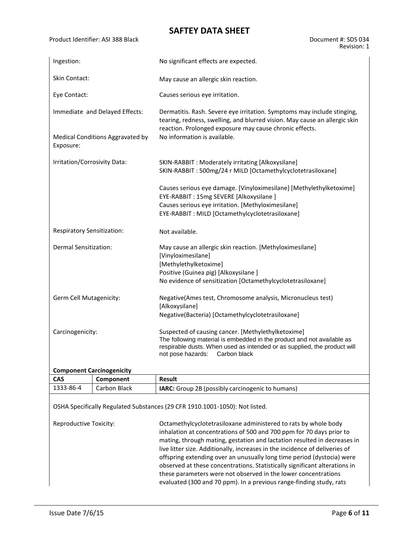#### Product Identifier: ASI 388 Black Document #: SDS 034 Revision: 1

| Ingestion:                       |                                  | No significant effects are expected.                                                                                                                                                                                                          |  |  |  |  |
|----------------------------------|----------------------------------|-----------------------------------------------------------------------------------------------------------------------------------------------------------------------------------------------------------------------------------------------|--|--|--|--|
| <b>Skin Contact:</b>             |                                  |                                                                                                                                                                                                                                               |  |  |  |  |
|                                  |                                  | May cause an allergic skin reaction.                                                                                                                                                                                                          |  |  |  |  |
| Eye Contact:                     |                                  | Causes serious eye irritation.                                                                                                                                                                                                                |  |  |  |  |
| Immediate and Delayed Effects:   |                                  | Dermatitis. Rash. Severe eye irritation. Symptoms may include stinging,<br>tearing, redness, swelling, and blurred vision. May cause an allergic skin<br>reaction. Prolonged exposure may cause chronic effects.                              |  |  |  |  |
| Exposure:                        | Medical Conditions Aggravated by | No information is available.                                                                                                                                                                                                                  |  |  |  |  |
| Irritation/Corrosivity Data:     |                                  | SKIN-RABBIT : Moderately irritating [Alkoxysilane]<br>SKIN-RABBIT: 500mg/24 r MILD [Octamethylcyclotetrasiloxane]                                                                                                                             |  |  |  |  |
|                                  |                                  | Causes serious eye damage. [Vinyloximesilane] [Methylethylketoxime]<br>EYE-RABBIT: 15mg SEVERE [Alkoxysilane ]                                                                                                                                |  |  |  |  |
|                                  |                                  | Causes serious eye irritation. [Methyloximesilane]<br>EYE-RABBIT : MILD [Octamethylcyclotetrasiloxane]                                                                                                                                        |  |  |  |  |
| Respiratory Sensitization:       |                                  | Not available.                                                                                                                                                                                                                                |  |  |  |  |
| Dermal Sensitization:            |                                  | May cause an allergic skin reaction. [Methyloximesilane]<br>[Vinyloximesilane]                                                                                                                                                                |  |  |  |  |
|                                  |                                  | [Methylethylketoxime]                                                                                                                                                                                                                         |  |  |  |  |
|                                  |                                  | Positive (Guinea pig) [Alkoxysilane]                                                                                                                                                                                                          |  |  |  |  |
|                                  |                                  | No evidence of sensitization [Octamethylcyclotetrasiloxane]                                                                                                                                                                                   |  |  |  |  |
| Germ Cell Mutagenicity:          |                                  | Negative(Ames test, Chromosome analysis, Micronucleus test)<br>[Alkoxysilane]                                                                                                                                                                 |  |  |  |  |
|                                  |                                  | Negative(Bacteria) [Octamethylcyclotetrasiloxane]                                                                                                                                                                                             |  |  |  |  |
| Carcinogenicity:                 |                                  | Suspected of causing cancer. [Methylethylketoxime]<br>The following material is embedded in the product and not available as<br>respirable dusts. When used as intended or as supplied, the product will<br>not pose hazards:<br>Carbon black |  |  |  |  |
| <b>Component Carcinogenicity</b> |                                  |                                                                                                                                                                                                                                               |  |  |  |  |
| <b>CAS</b>                       | Component                        | <b>Result</b>                                                                                                                                                                                                                                 |  |  |  |  |

| ີ                                                                           | <b>COMPONENT</b> | wesult                                                                                                                                                                                                                                                                                                                                                                                                                                                     |  |  |  |  |  |
|-----------------------------------------------------------------------------|------------------|------------------------------------------------------------------------------------------------------------------------------------------------------------------------------------------------------------------------------------------------------------------------------------------------------------------------------------------------------------------------------------------------------------------------------------------------------------|--|--|--|--|--|
| 1333-86-4                                                                   | Carbon Black     | <b>IARC:</b> Group 2B (possibly carcinogenic to humans)                                                                                                                                                                                                                                                                                                                                                                                                    |  |  |  |  |  |
| OSHA Specifically Regulated Substances (29 CFR 1910.1001-1050): Not listed. |                  |                                                                                                                                                                                                                                                                                                                                                                                                                                                            |  |  |  |  |  |
| Reproductive Toxicity:                                                      |                  | Octamethylcyclotetrasiloxane administered to rats by whole body<br>inhalation at concentrations of 500 and 700 ppm for 70 days prior to<br>mating, through mating, gestation and lactation resulted in decreases in<br>live litter size. Additionally, increases in the incidence of deliveries of<br>offspring extending over an unusually long time period (dystocia) were<br>observed at these concentrations. Statistically significant alterations in |  |  |  |  |  |

these parameters were not observed in the lower concentrations evaluated (300 and 70 ppm). In a previous range-finding study, rats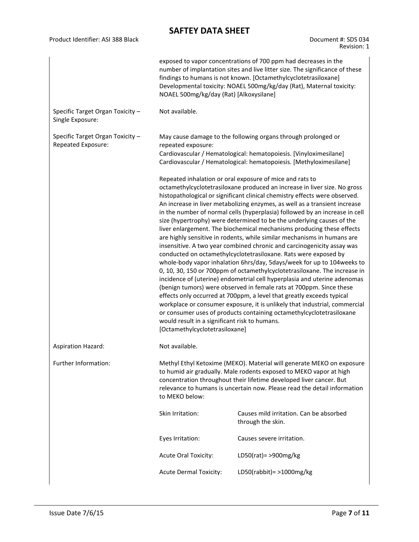| Document #: SDS 034 |
|---------------------|
| Revision: 1         |

| Specific Target Organ Toxicity -<br>Single Exposure:   | exposed to vapor concentrations of 700 ppm had decreases in the<br>number of implantation sites and live litter size. The significance of these<br>findings to humans is not known. [Octamethylcyclotetrasiloxane]<br>Developmental toxicity: NOAEL 500mg/kg/day (Rat), Maternal toxicity:<br>NOAEL 500mg/kg/day (Rat) [Alkoxysilane]<br>Not available.                                                                                                                                                                                                                                                                                                                                                                                                                                                                                                                                                                                                                                                                                                                                                                                                                                                                                                                                                                                                                                 |                                                              |  |  |  |
|--------------------------------------------------------|-----------------------------------------------------------------------------------------------------------------------------------------------------------------------------------------------------------------------------------------------------------------------------------------------------------------------------------------------------------------------------------------------------------------------------------------------------------------------------------------------------------------------------------------------------------------------------------------------------------------------------------------------------------------------------------------------------------------------------------------------------------------------------------------------------------------------------------------------------------------------------------------------------------------------------------------------------------------------------------------------------------------------------------------------------------------------------------------------------------------------------------------------------------------------------------------------------------------------------------------------------------------------------------------------------------------------------------------------------------------------------------------|--------------------------------------------------------------|--|--|--|
| Specific Target Organ Toxicity -<br>Repeated Exposure: | May cause damage to the following organs through prolonged or<br>repeated exposure:<br>Cardiovascular / Hematological: hematopoiesis. [Vinyloximesilane]<br>Cardiovascular / Hematological: hematopoiesis. [Methyloximesilane]                                                                                                                                                                                                                                                                                                                                                                                                                                                                                                                                                                                                                                                                                                                                                                                                                                                                                                                                                                                                                                                                                                                                                          |                                                              |  |  |  |
|                                                        | Repeated inhalation or oral exposure of mice and rats to<br>octamethylcyclotetrasiloxane produced an increase in liver size. No gross<br>histopathological or significant clinical chemistry effects were observed.<br>An increase in liver metabolizing enzymes, as well as a transient increase<br>in the number of normal cells (hyperplasia) followed by an increase in cell<br>size (hypertrophy) were determined to be the underlying causes of the<br>liver enlargement. The biochemical mechanisms producing these effects<br>are highly sensitive in rodents, while similar mechanisms in humans are<br>insensitive. A two year combined chronic and carcinogenicity assay was<br>conducted on octamethylcyclotetrasiloxane. Rats were exposed by<br>whole-body vapor inhalation 6hrs/day, 5days/week for up to 104 weeks to<br>0, 10, 30, 150 or 700ppm of octamethylcyclotetrasiloxane. The increase in<br>incidence of (uterine) endometrial cell hyperplasia and uterine adenomas<br>(benign tumors) were observed in female rats at 700ppm. Since these<br>effects only occurred at 700ppm, a level that greatly exceeds typical<br>workplace or consumer exposure, it is unlikely that industrial, commercial<br>or consumer uses of products containing octamethylcyclotetrasiloxane<br>would result in a significant risk to humans.<br>[Octamethylcyclotetrasiloxane] |                                                              |  |  |  |
| <b>Aspiration Hazard:</b>                              | Not available.                                                                                                                                                                                                                                                                                                                                                                                                                                                                                                                                                                                                                                                                                                                                                                                                                                                                                                                                                                                                                                                                                                                                                                                                                                                                                                                                                                          |                                                              |  |  |  |
| Further Information:                                   | Methyl Ethyl Ketoxime (MEKO). Material will generate MEKO on exposure<br>to humid air gradually. Male rodents exposed to MEKO vapor at high<br>concentration throughout their lifetime developed liver cancer. But<br>relevance to humans is uncertain now. Please read the detail information<br>to MEKO below:                                                                                                                                                                                                                                                                                                                                                                                                                                                                                                                                                                                                                                                                                                                                                                                                                                                                                                                                                                                                                                                                        |                                                              |  |  |  |
|                                                        | Skin Irritation:                                                                                                                                                                                                                                                                                                                                                                                                                                                                                                                                                                                                                                                                                                                                                                                                                                                                                                                                                                                                                                                                                                                                                                                                                                                                                                                                                                        | Causes mild irritation. Can be absorbed<br>through the skin. |  |  |  |
|                                                        | Eyes Irritation:                                                                                                                                                                                                                                                                                                                                                                                                                                                                                                                                                                                                                                                                                                                                                                                                                                                                                                                                                                                                                                                                                                                                                                                                                                                                                                                                                                        | Causes severe irritation.                                    |  |  |  |
|                                                        | <b>Acute Oral Toxicity:</b>                                                                                                                                                                                                                                                                                                                                                                                                                                                                                                                                                                                                                                                                                                                                                                                                                                                                                                                                                                                                                                                                                                                                                                                                                                                                                                                                                             | LD50(rat)= >900mg/kg                                         |  |  |  |
|                                                        | <b>Acute Dermal Toxicity:</b>                                                                                                                                                                                                                                                                                                                                                                                                                                                                                                                                                                                                                                                                                                                                                                                                                                                                                                                                                                                                                                                                                                                                                                                                                                                                                                                                                           | LD50(rabbit) = $>1000$ mg/kg                                 |  |  |  |

Product Identifier: ASI 388 Black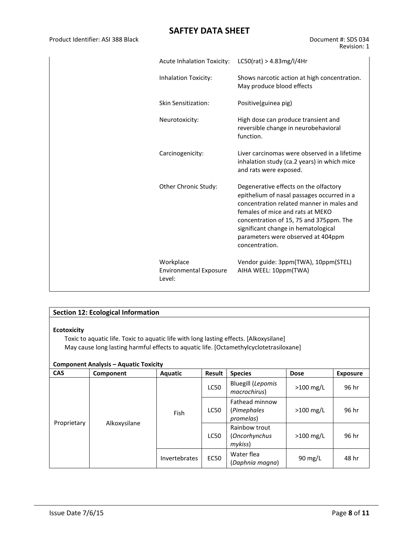Product Identifier: ASI 388 Black Document #: SDS 034

| <b>Acute Inhalation Toxicity:</b>                    | LC50(rat) > 4.83mg/l/4Hr                                                                                                                                                                                                                                                                                       |
|------------------------------------------------------|----------------------------------------------------------------------------------------------------------------------------------------------------------------------------------------------------------------------------------------------------------------------------------------------------------------|
| Inhalation Toxicity:                                 | Shows narcotic action at high concentration.<br>May produce blood effects                                                                                                                                                                                                                                      |
| Skin Sensitization:                                  | Positive(guinea pig)                                                                                                                                                                                                                                                                                           |
| Neurotoxicity:                                       | High dose can produce transient and<br>reversible change in neurobehavioral<br>function.                                                                                                                                                                                                                       |
| Carcinogenicity:                                     | Liver carcinomas were observed in a lifetime<br>inhalation study (ca.2 years) in which mice<br>and rats were exposed.                                                                                                                                                                                          |
| Other Chronic Study:                                 | Degenerative effects on the olfactory<br>epithelium of nasal passages occurred in a<br>concentration related manner in males and<br>females of mice and rats at MEKO<br>concentration of 15, 75 and 375ppm. The<br>significant change in hematological<br>parameters were observed at 404ppm<br>concentration. |
| Workplace<br><b>Environmental Exposure</b><br>Level: | Vendor guide: 3ppm(TWA), 10ppm(STEL)<br>AIHA WEEL: 10ppm(TWA)                                                                                                                                                                                                                                                  |

### **Section 12: Ecological Information**

#### **Ecotoxicity**

Toxic to aquatic life. Toxic to aquatic life with long lasting effects. [Alkoxysilane] May cause long lasting harmful effects to aquatic life. [Octamethylcyclotetrasiloxane]

#### **Component Analysis – Aquatic Toxicity**

| <b>CAS</b>  | Component    | <b>Aquatic</b>       | Result                                                          | <b>Species</b>                             | <b>Dose</b>       | <b>Exposure</b> |
|-------------|--------------|----------------------|-----------------------------------------------------------------|--------------------------------------------|-------------------|-----------------|
| Proprietary | Alkoxysilane | Fish                 | <b>Bluegill (Lepomis</b><br>LC50<br>$>100$ mg/L<br>macrochirus) |                                            |                   | 96 hr           |
|             |              |                      | <b>LC50</b>                                                     | Fathead minnow<br>(Pimephales<br>promelas) | $>100$ mg/L       | 96 hr           |
|             |              |                      | <b>LC50</b>                                                     | Rainbow trout<br>(Oncorhynchus<br>mykiss)  | $>100$ mg/L       | 96 hr           |
|             |              | <b>Invertebrates</b> | <b>EC50</b>                                                     | Water flea<br>(Daphnia magna)              | $90 \text{ mg/L}$ | 48 hr           |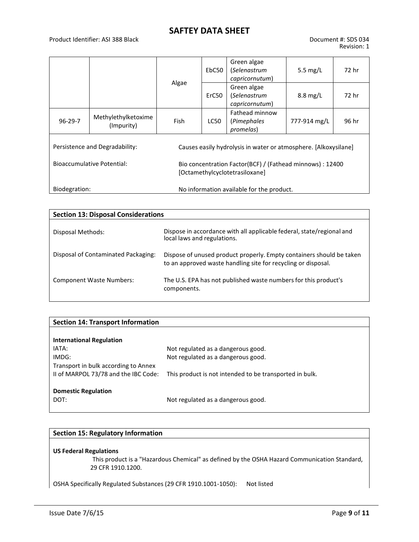|                                                            |                                   |       | EbC50                                                                                       | Green algae<br>(Selenastrum<br>capricornutum)                   | 5.5 $mg/L$         | 72 hr |  |
|------------------------------------------------------------|-----------------------------------|-------|---------------------------------------------------------------------------------------------|-----------------------------------------------------------------|--------------------|-------|--|
|                                                            |                                   | Algae | ErC50                                                                                       | Green algae<br>(Selenastrum<br>capricornutum)                   | $8.8 \text{ mg/L}$ |       |  |
| $96 - 29 - 7$                                              | Methylethylketoxime<br>(Impurity) | Fish  | LC50                                                                                        | Fathead minnow<br>(Pimephales<br>promelas)                      | 777-914 mg/L       | 96 hr |  |
|                                                            | Persistence and Degradability:    |       |                                                                                             | Causes easily hydrolysis in water or atmosphere. [Alkoxysilane] |                    |       |  |
| <b>Bioaccumulative Potential:</b>                          |                                   |       | Bio concentration Factor(BCF) / (Fathead minnows) : 12400<br>[Octamethylcyclotetrasiloxane] |                                                                 |                    |       |  |
| No information available for the product.<br>Biodegration: |                                   |       |                                                                                             |                                                                 |                    |       |  |

| <b>Section 13: Disposal Considerations</b> |                                                                                                                                       |  |  |  |  |  |
|--------------------------------------------|---------------------------------------------------------------------------------------------------------------------------------------|--|--|--|--|--|
| Disposal Methods:                          | Dispose in accordance with all applicable federal, state/regional and<br>local laws and regulations.                                  |  |  |  |  |  |
| Disposal of Contaminated Packaging:        | Dispose of unused product properly. Empty containers should be taken<br>to an approved waste handling site for recycling or disposal. |  |  |  |  |  |
| <b>Component Waste Numbers:</b>            | The U.S. EPA has not published waste numbers for this product's<br>components.                                                        |  |  |  |  |  |

| Not regulated as a dangerous good.                      |
|---------------------------------------------------------|
| Not regulated as a dangerous good.                      |
|                                                         |
| This product is not intended to be transported in bulk. |
|                                                         |
|                                                         |
| Not regulated as a dangerous good.                      |
|                                                         |

#### **Section 15: Regulatory Information**

#### **US Federal Regulations**

 This product is a "Hazardous Chemical" as defined by the OSHA Hazard Communication Standard, 29 CFR 1910.1200.

OSHA Specifically Regulated Substances (29 CFR 1910.1001-1050): Not listed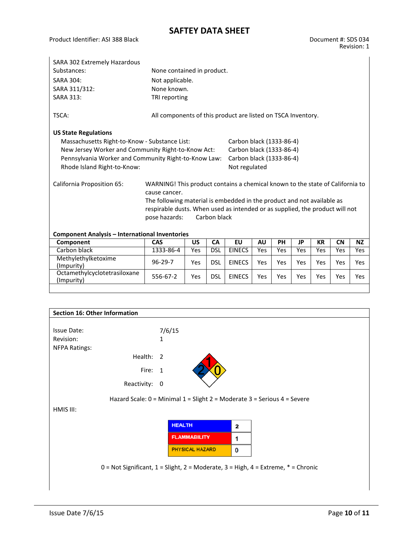| SARA 302 Extremely Hazardous                          |                                                                               |            |              |                          |           |     |     |           |           |            |
|-------------------------------------------------------|-------------------------------------------------------------------------------|------------|--------------|--------------------------|-----------|-----|-----|-----------|-----------|------------|
| Substances:<br>None contained in product.             |                                                                               |            |              |                          |           |     |     |           |           |            |
| <b>SARA 304:</b>                                      | Not applicable.                                                               |            |              |                          |           |     |     |           |           |            |
| SARA 311/312:                                         | None known.                                                                   |            |              |                          |           |     |     |           |           |            |
| <b>SARA 313:</b>                                      | TRI reporting                                                                 |            |              |                          |           |     |     |           |           |            |
| TSCA:                                                 | All components of this product are listed on TSCA Inventory.                  |            |              |                          |           |     |     |           |           |            |
| <b>US State Regulations</b>                           |                                                                               |            |              |                          |           |     |     |           |           |            |
| Massachusetts Right-to-Know - Substance List:         |                                                                               |            |              | Carbon black (1333-86-4) |           |     |     |           |           |            |
| New Jersey Worker and Community Right-to-Know Act:    |                                                                               |            |              | Carbon black (1333-86-4) |           |     |     |           |           |            |
| Pennsylvania Worker and Community Right-to-Know Law:  |                                                                               |            |              | Carbon black (1333-86-4) |           |     |     |           |           |            |
| Rhode Island Right-to-Know:                           |                                                                               |            |              | Not regulated            |           |     |     |           |           |            |
| California Proposition 65:                            | WARNING! This product contains a chemical known to the state of California to |            |              |                          |           |     |     |           |           |            |
|                                                       | cause cancer.                                                                 |            |              |                          |           |     |     |           |           |            |
|                                                       | The following material is embedded in the product and not available as        |            |              |                          |           |     |     |           |           |            |
|                                                       | respirable dusts. When used as intended or as supplied, the product will not  |            |              |                          |           |     |     |           |           |            |
|                                                       | pose hazards:                                                                 |            | Carbon black |                          |           |     |     |           |           |            |
|                                                       |                                                                               |            |              |                          |           |     |     |           |           |            |
| <b>Component Analysis - International Inventories</b> |                                                                               |            |              |                          |           |     |     |           |           |            |
| Component                                             | CAS                                                                           | <b>US</b>  | <b>CA</b>    | EU                       | <b>AU</b> | PH  | JP  | <b>KR</b> | <b>CN</b> | <b>NZ</b>  |
| Carbon black                                          | 1333-86-4                                                                     | Yes        | <b>DSL</b>   | <b>EINECS</b>            | Yes       | Yes | Yes | Yes       | Yes       | Yes        |
| Methylethylketoxime<br>(Impurity)                     | $96 - 29 - 7$                                                                 | <b>Yes</b> | <b>DSL</b>   | <b>EINECS</b>            | Yes       | Yes | Yes | Yes       | Yes       | <b>Yes</b> |
| Octamethylcyclotetrasiloxane<br>(Impurity)            | 556-67-2                                                                      | <b>Yes</b> | <b>DSL</b>   | <b>EINECS</b>            | Yes       | Yes | Yes | Yes       | Yes       | <b>Yes</b> |
|                                                       |                                                                               |            |              |                          |           |     |     |           |           |            |